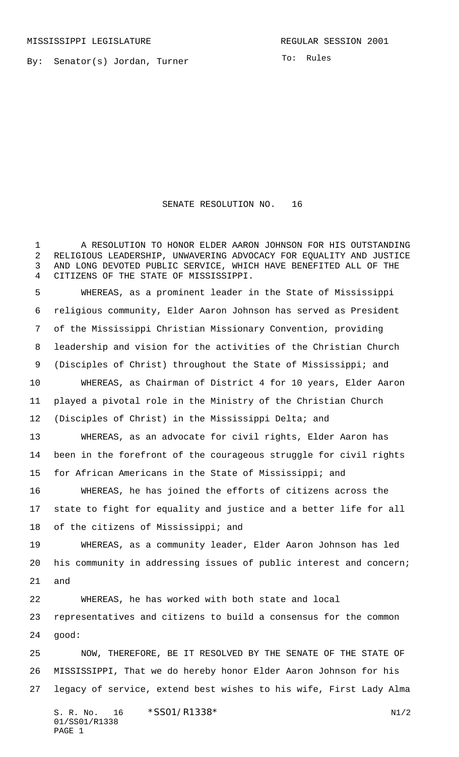By: Senator(s) Jordan, Turner

To: Rules

SENATE RESOLUTION NO. 16

 A RESOLUTION TO HONOR ELDER AARON JOHNSON FOR HIS OUTSTANDING RELIGIOUS LEADERSHIP, UNWAVERING ADVOCACY FOR EQUALITY AND JUSTICE AND LONG DEVOTED PUBLIC SERVICE, WHICH HAVE BENEFITED ALL OF THE CITIZENS OF THE STATE OF MISSISSIPPI. WHEREAS, as a prominent leader in the State of Mississippi religious community, Elder Aaron Johnson has served as President of the Mississippi Christian Missionary Convention, providing leadership and vision for the activities of the Christian Church (Disciples of Christ) throughout the State of Mississippi; and WHEREAS, as Chairman of District 4 for 10 years, Elder Aaron played a pivotal role in the Ministry of the Christian Church (Disciples of Christ) in the Mississippi Delta; and WHEREAS, as an advocate for civil rights, Elder Aaron has been in the forefront of the courageous struggle for civil rights for African Americans in the State of Mississippi; and WHEREAS, he has joined the efforts of citizens across the state to fight for equality and justice and a better life for all of the citizens of Mississippi; and WHEREAS, as a community leader, Elder Aaron Johnson has led his community in addressing issues of public interest and concern; and WHEREAS, he has worked with both state and local representatives and citizens to build a consensus for the common good: NOW, THEREFORE, BE IT RESOLVED BY THE SENATE OF THE STATE OF MISSISSIPPI, That we do hereby honor Elder Aaron Johnson for his legacy of service, extend best wishes to his wife, First Lady Alma

S. R. No.  $16 \times$   $$SO1/R1338*$  N1/2 01/SS01/R1338 PAGE 1